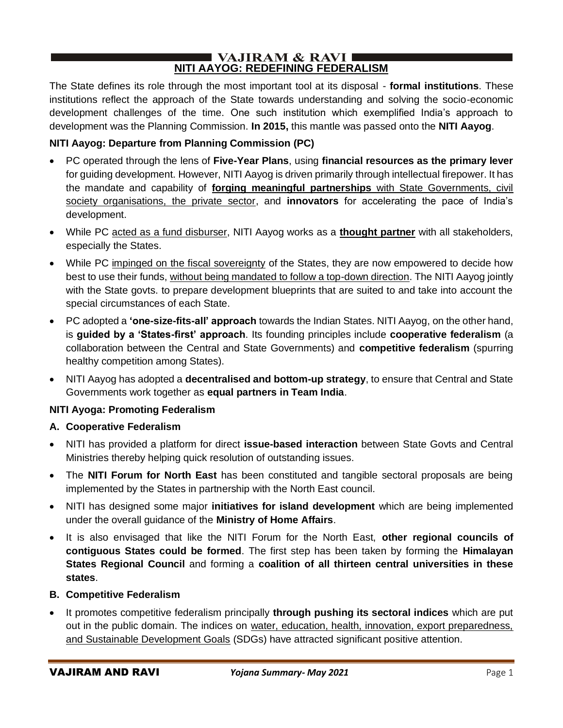#### $\blacksquare$  VAJIRAM & RAVI $\blacksquare$ **NITI AAYOG: REDEFINING FEDERALISM**

The State defines its role through the most important tool at its disposal - **formal institutions**. These institutions reflect the approach of the State towards understanding and solving the socio-economic development challenges of the time. One such institution which exemplified India's approach to development was the Planning Commission. **In 2015,** this mantle was passed onto the **NITI Aayog**.

## **NITI Aayog: Departure from Planning Commission (PC)**

- PC operated through the lens of **Five-Year Plans**, using **financial resources as the primary lever** for guiding development. However, NITI Aayog is driven primarily through intellectual firepower. It has the mandate and capability of **forging meaningful partnerships** with State Governments, civil society organisations, the private sector, and **innovators** for accelerating the pace of India's development.
- While PC acted as a fund disburser, NITI Aayog works as a **thought partner** with all stakeholders, especially the States.
- While PC impinged on the fiscal sovereignty of the States, they are now empowered to decide how best to use their funds, without being mandated to follow a top-down direction. The NITI Aayog jointly with the State govts. to prepare development blueprints that are suited to and take into account the special circumstances of each State.
- PC adopted a **'one-size-fits-all' approach** towards the Indian States. NITI Aayog, on the other hand, is **guided by a 'States-first' approach**. Its founding principles include **cooperative federalism** (a collaboration between the Central and State Governments) and **competitive federalism** (spurring healthy competition among States).
- NITI Aayog has adopted a **decentralised and bottom-up strategy**, to ensure that Central and State Governments work together as **equal partners in Team India**.

## **NITI Ayoga: Promoting Federalism**

## **A. Cooperative Federalism**

- NITI has provided a platform for direct **issue-based interaction** between State Govts and Central Ministries thereby helping quick resolution of outstanding issues.
- The **NITI Forum for North East** has been constituted and tangible sectoral proposals are being implemented by the States in partnership with the North East council.
- NITI has designed some major **initiatives for island development** which are being implemented under the overall guidance of the **Ministry of Home Affairs**.
- It is also envisaged that like the NITI Forum for the North East, **other regional councils of contiguous States could be formed**. The first step has been taken by forming the **Himalayan States Regional Council** and forming a **coalition of all thirteen central universities in these states**.

## **B. Competitive Federalism**

• It promotes competitive federalism principally **through pushing its sectoral indices** which are put out in the public domain. The indices on water, education, health, innovation, export preparedness, and Sustainable Development Goals (SDGs) have attracted significant positive attention.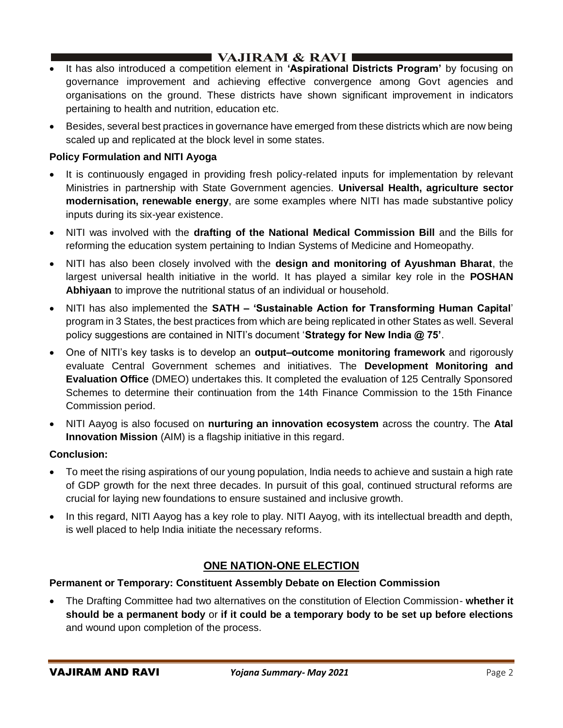# I VAJIRAM & RAVI ∎

- It has also introduced a competition element in **'Aspirational Districts Program'** by focusing on governance improvement and achieving effective convergence among Govt agencies and organisations on the ground. These districts have shown significant improvement in indicators pertaining to health and nutrition, education etc.
- Besides, several best practices in governance have emerged from these districts which are now being scaled up and replicated at the block level in some states.

## **Policy Formulation and NITI Ayoga**

- It is continuously engaged in providing fresh policy-related inputs for implementation by relevant Ministries in partnership with State Government agencies. **Universal Health, agriculture sector modernisation, renewable energy**, are some examples where NITI has made substantive policy inputs during its six-year existence.
- NITI was involved with the **drafting of the National Medical Commission Bill** and the Bills for reforming the education system pertaining to Indian Systems of Medicine and Homeopathy.
- NITI has also been closely involved with the **design and monitoring of Ayushman Bharat**, the largest universal health initiative in the world. It has played a similar key role in the **POSHAN Abhiyaan** to improve the nutritional status of an individual or household.
- NITI has also implemented the **SATH – 'Sustainable Action for Transforming Human Capital**' program in 3 States, the best practices from which are being replicated in other States as well. Several policy suggestions are contained in NITI's document '**Strategy for New India @ 75'**.
- One of NITI's key tasks is to develop an **output–outcome monitoring framework** and rigorously evaluate Central Government schemes and initiatives. The **Development Monitoring and Evaluation Office** (DMEO) undertakes this. It completed the evaluation of 125 Centrally Sponsored Schemes to determine their continuation from the 14th Finance Commission to the 15th Finance Commission period.
- NITI Aayog is also focused on **nurturing an innovation ecosystem** across the country. The **Atal Innovation Mission** (AIM) is a flagship initiative in this regard.

## **Conclusion:**

- To meet the rising aspirations of our young population, India needs to achieve and sustain a high rate of GDP growth for the next three decades. In pursuit of this goal, continued structural reforms are crucial for laying new foundations to ensure sustained and inclusive growth.
- In this regard, NITI Aayog has a key role to play. NITI Aayog, with its intellectual breadth and depth, is well placed to help India initiate the necessary reforms.

# **ONE NATION-ONE ELECTION**

## **Permanent or Temporary: Constituent Assembly Debate on Election Commission**

• The Drafting Committee had two alternatives on the constitution of Election Commission- **whether it should be a permanent body** or **if it could be a temporary body to be set up before elections** and wound upon completion of the process.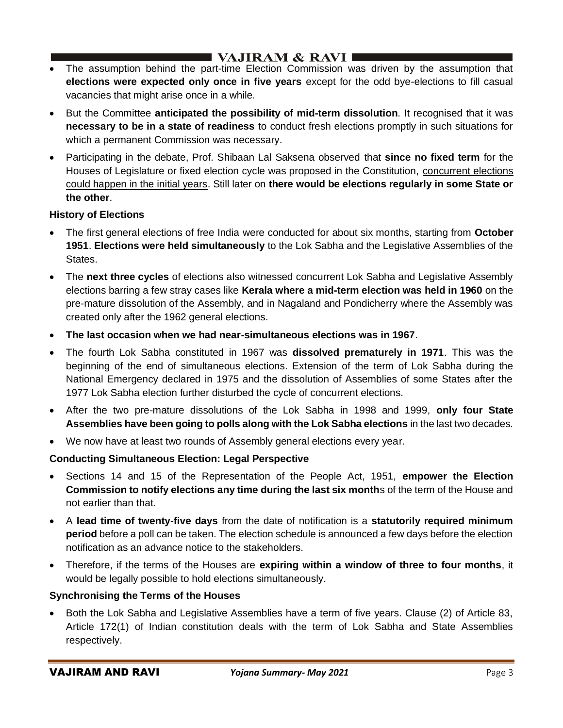- The assumption behind the part-time Election Commission was driven by the assumption that **elections were expected only once in five years** except for the odd bye-elections to fill casual vacancies that might arise once in a while.
- But the Committee **anticipated the possibility of mid-term dissolution**. It recognised that it was **necessary to be in a state of readiness** to conduct fresh elections promptly in such situations for which a permanent Commission was necessary.
- Participating in the debate, Prof. Shibaan Lal Saksena observed that **since no fixed term** for the Houses of Legislature or fixed election cycle was proposed in the Constitution, concurrent elections could happen in the initial years. Still later on **there would be elections regularly in some State or the other**.

## **History of Elections**

- The first general elections of free India were conducted for about six months, starting from **October 1951**. **Elections were held simultaneously** to the Lok Sabha and the Legislative Assemblies of the States.
- The **next three cycles** of elections also witnessed concurrent Lok Sabha and Legislative Assembly elections barring a few stray cases like **Kerala where a mid-term election was held in 1960** on the pre-mature dissolution of the Assembly, and in Nagaland and Pondicherry where the Assembly was created only after the 1962 general elections.
- **The last occasion when we had near-simultaneous elections was in 1967**.
- The fourth Lok Sabha constituted in 1967 was **dissolved prematurely in 1971**. This was the beginning of the end of simultaneous elections. Extension of the term of Lok Sabha during the National Emergency declared in 1975 and the dissolution of Assemblies of some States after the 1977 Lok Sabha election further disturbed the cycle of concurrent elections.
- After the two pre-mature dissolutions of the Lok Sabha in 1998 and 1999, **only four State Assemblies have been going to polls along with the Lok Sabha elections** in the last two decades.
- We now have at least two rounds of Assembly general elections every year.

## **Conducting Simultaneous Election: Legal Perspective**

- Sections 14 and 15 of the Representation of the People Act, 1951, **empower the Election Commission to notify elections any time during the last six month**s of the term of the House and not earlier than that.
- A **lead time of twenty-five days** from the date of notification is a **statutorily required minimum period** before a poll can be taken. The election schedule is announced a few days before the election notification as an advance notice to the stakeholders.
- Therefore, if the terms of the Houses are **expiring within a window of three to four months**, it would be legally possible to hold elections simultaneously.

## **Synchronising the Terms of the Houses**

• Both the Lok Sabha and Legislative Assemblies have a term of five years. Clause (2) of Article 83, Article 172(1) of Indian constitution deals with the term of Lok Sabha and State Assemblies respectively.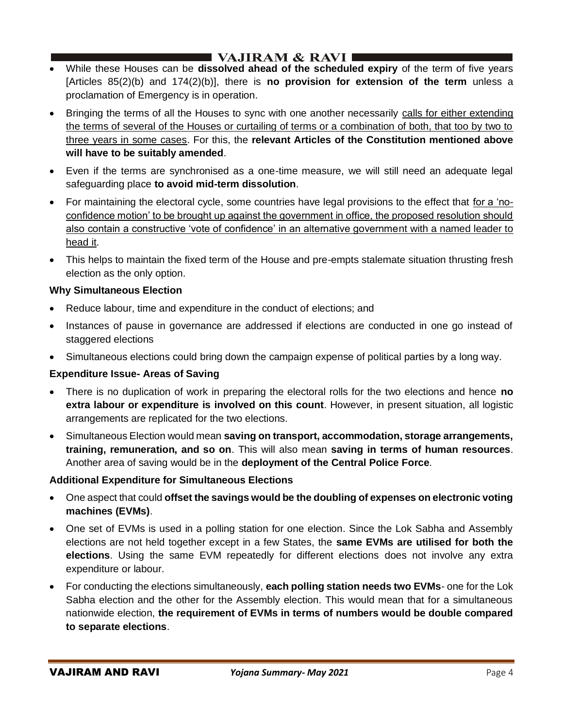- While these Houses can be **dissolved ahead of the scheduled expiry** of the term of five years [Articles 85(2)(b) and 174(2)(b)], there is **no provision for extension of the term** unless a proclamation of Emergency is in operation.
- Bringing the terms of all the Houses to sync with one another necessarily calls for either extending the terms of several of the Houses or curtailing of terms or a combination of both, that too by two to three years in some cases. For this, the **relevant Articles of the Constitution mentioned above will have to be suitably amended**.
- Even if the terms are synchronised as a one-time measure, we will still need an adequate legal safeguarding place **to avoid mid-term dissolution**.
- For maintaining the electoral cycle, some countries have legal provisions to the effect that for a 'noconfidence motion' to be brought up against the government in office, the proposed resolution should also contain a constructive 'vote of confidence' in an alternative government with a named leader to head it.
- This helps to maintain the fixed term of the House and pre-empts stalemate situation thrusting fresh election as the only option.

### **Why Simultaneous Election**

- Reduce labour, time and expenditure in the conduct of elections; and
- Instances of pause in governance are addressed if elections are conducted in one go instead of staggered elections
- Simultaneous elections could bring down the campaign expense of political parties by a long way.

## **Expenditure Issue- Areas of Saving**

- There is no duplication of work in preparing the electoral rolls for the two elections and hence **no extra labour or expenditure is involved on this count**. However, in present situation, all logistic arrangements are replicated for the two elections.
- Simultaneous Election would mean **saving on transport, accommodation, storage arrangements, training, remuneration, and so on**. This will also mean **saving in terms of human resources**. Another area of saving would be in the **deployment of the Central Police Force**.

## **Additional Expenditure for Simultaneous Elections**

- One aspect that could **offset the savings would be the doubling of expenses on electronic voting machines (EVMs)**.
- One set of EVMs is used in a polling station for one election. Since the Lok Sabha and Assembly elections are not held together except in a few States, the **same EVMs are utilised for both the elections**. Using the same EVM repeatedly for different elections does not involve any extra expenditure or labour.
- For conducting the elections simultaneously, **each polling station needs two EVMs** one for the Lok Sabha election and the other for the Assembly election. This would mean that for a simultaneous nationwide election, **the requirement of EVMs in terms of numbers would be double compared to separate elections**.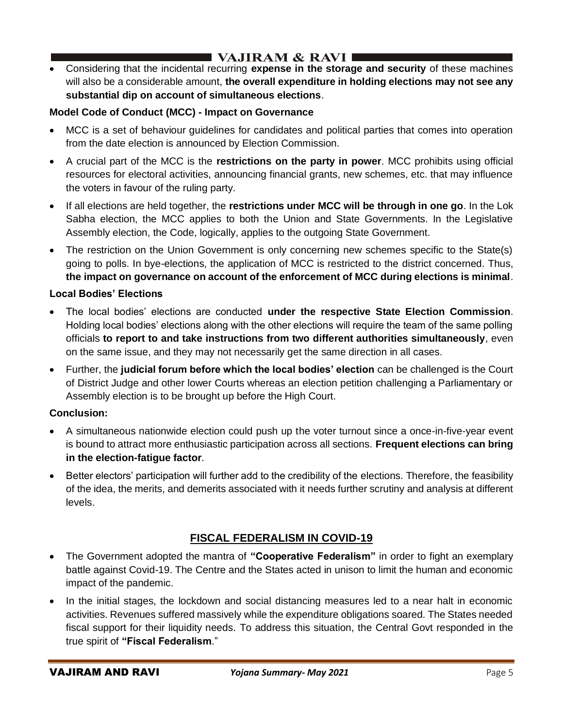• Considering that the incidental recurring **expense in the storage and security** of these machines will also be a considerable amount, **the overall expenditure in holding elections may not see any substantial dip on account of simultaneous elections**.

## **Model Code of Conduct (MCC) - Impact on Governance**

- MCC is a set of behaviour guidelines for candidates and political parties that comes into operation from the date election is announced by Election Commission.
- A crucial part of the MCC is the **restrictions on the party in power**. MCC prohibits using official resources for electoral activities, announcing financial grants, new schemes, etc. that may influence the voters in favour of the ruling party.
- If all elections are held together, the **restrictions under MCC will be through in one go**. In the Lok Sabha election, the MCC applies to both the Union and State Governments. In the Legislative Assembly election, the Code, logically, applies to the outgoing State Government.
- The restriction on the Union Government is only concerning new schemes specific to the State(s) going to polls. In bye-elections, the application of MCC is restricted to the district concerned. Thus, **the impact on governance on account of the enforcement of MCC during elections is minimal**.

## **Local Bodies' Elections**

- The local bodies' elections are conducted **under the respective State Election Commission**. Holding local bodies' elections along with the other elections will require the team of the same polling officials **to report to and take instructions from two different authorities simultaneously**, even on the same issue, and they may not necessarily get the same direction in all cases.
- Further, the **judicial forum before which the local bodies' election** can be challenged is the Court of District Judge and other lower Courts whereas an election petition challenging a Parliamentary or Assembly election is to be brought up before the High Court.

## **Conclusion:**

- A simultaneous nationwide election could push up the voter turnout since a once-in-five-year event is bound to attract more enthusiastic participation across all sections. **Frequent elections can bring in the election-fatigue factor**.
- Better electors' participation will further add to the credibility of the elections. Therefore, the feasibility of the idea, the merits, and demerits associated with it needs further scrutiny and analysis at different levels.

# **FISCAL FEDERALISM IN COVID-19**

- The Government adopted the mantra of **"Cooperative Federalism"** in order to fight an exemplary battle against Covid-19. The Centre and the States acted in unison to limit the human and economic impact of the pandemic.
- In the initial stages, the lockdown and social distancing measures led to a near halt in economic activities. Revenues suffered massively while the expenditure obligations soared. The States needed fiscal support for their liquidity needs. To address this situation, the Central Govt responded in the true spirit of **"Fiscal Federalism**."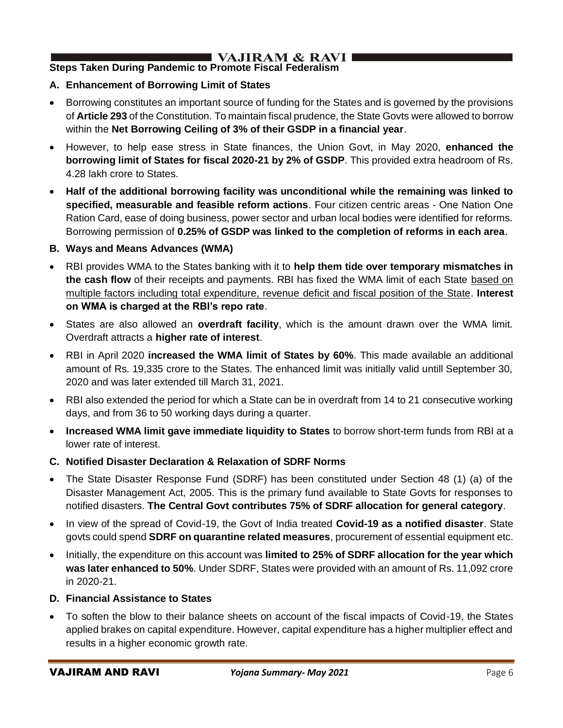# I VAJIRAM & RAVI I

# **Steps Taken During Pandemic to Promote Fiscal Federalism**

## **A. Enhancement of Borrowing Limit of States**

- Borrowing constitutes an important source of funding for the States and is governed by the provisions of **Article 293** of the Constitution. To maintain fiscal prudence, the State Govts were allowed to borrow within the **Net Borrowing Ceiling of 3% of their GSDP in a financial year**.
- However, to help ease stress in State finances, the Union Govt, in May 2020, **enhanced the borrowing limit of States for fiscal 2020-21 by 2% of GSDP**. This provided extra headroom of Rs. 4.28 lakh crore to States.
- **Half of the additional borrowing facility was unconditional while the remaining was linked to specified, measurable and feasible reform actions**. Four citizen centric areas - One Nation One Ration Card, ease of doing business, power sector and urban local bodies were identified for reforms. Borrowing permission of **0.25% of GSDP was linked to the completion of reforms in each area**.

### **B. Ways and Means Advances (WMA)**

- RBI provides WMA to the States banking with it to **help them tide over temporary mismatches in the cash flow** of their receipts and payments. RBI has fixed the WMA limit of each State based on multiple factors including total expenditure, revenue deficit and fiscal position of the State. **Interest on WMA is charged at the RBI's repo rate**.
- States are also allowed an **overdraft facility**, which is the amount drawn over the WMA limit. Overdraft attracts a **higher rate of interest**.
- RBI in April 2020 **increased the WMA limit of States by 60%**. This made available an additional amount of Rs. 19,335 crore to the States. The enhanced limit was initially valid untill September 30, 2020 and was later extended till March 31, 2021.
- RBI also extended the period for which a State can be in overdraft from 14 to 21 consecutive working days, and from 36 to 50 working days during a quarter.
- **Increased WMA limit gave immediate liquidity to States** to borrow short-term funds from RBI at a lower rate of interest.
- **C. Notified Disaster Declaration & Relaxation of SDRF Norms**
- The State Disaster Response Fund (SDRF) has been constituted under Section 48 (1) (a) of the Disaster Management Act, 2005. This is the primary fund available to State Govts for responses to notified disasters. **The Central Govt contributes 75% of SDRF allocation for general category**.
- In view of the spread of Covid-19, the Govt of India treated **Covid-19 as a notified disaster**. State govts could spend **SDRF on quarantine related measures**, procurement of essential equipment etc.
- Initially, the expenditure on this account was **limited to 25% of SDRF allocation for the year which was later enhanced to 50%**. Under SDRF, States were provided with an amount of Rs. 11,092 crore in 2020-21.
- **D. Financial Assistance to States**
- To soften the blow to their balance sheets on account of the fiscal impacts of Covid-19, the States applied brakes on capital expenditure. However, capital expenditure has a higher multiplier effect and results in a higher economic growth rate.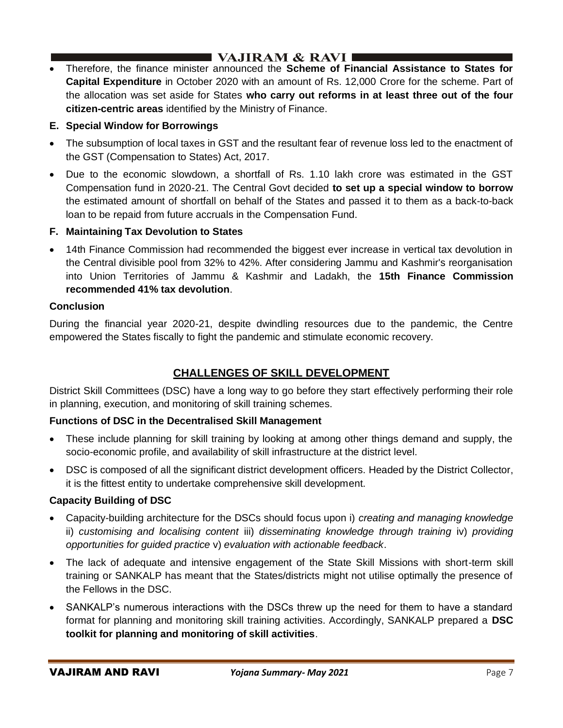• Therefore, the finance minister announced the **Scheme of Financial Assistance to States for Capital Expenditure** in October 2020 with an amount of Rs. 12,000 Crore for the scheme. Part of the allocation was set aside for States **who carry out reforms in at least three out of the four citizen-centric areas** identified by the Ministry of Finance.

## **E. Special Window for Borrowings**

- The subsumption of local taxes in GST and the resultant fear of revenue loss led to the enactment of the GST (Compensation to States) Act, 2017.
- Due to the economic slowdown, a shortfall of Rs. 1.10 lakh crore was estimated in the GST Compensation fund in 2020-21. The Central Govt decided **to set up a special window to borrow** the estimated amount of shortfall on behalf of the States and passed it to them as a back-to-back loan to be repaid from future accruals in the Compensation Fund.

## **F. Maintaining Tax Devolution to States**

• 14th Finance Commission had recommended the biggest ever increase in vertical tax devolution in the Central divisible pool from 32% to 42%. After considering Jammu and Kashmir's reorganisation into Union Territories of Jammu & Kashmir and Ladakh, the **15th Finance Commission recommended 41% tax devolution**.

## **Conclusion**

During the financial year 2020-21, despite dwindling resources due to the pandemic, the Centre empowered the States fiscally to fight the pandemic and stimulate economic recovery.

# **CHALLENGES OF SKILL DEVELOPMENT**

District Skill Committees (DSC) have a long way to go before they start effectively performing their role in planning, execution, and monitoring of skill training schemes.

## **Functions of DSC in the Decentralised Skill Management**

- These include planning for skill training by looking at among other things demand and supply, the socio-economic profile, and availability of skill infrastructure at the district level.
- DSC is composed of all the significant district development officers. Headed by the District Collector, it is the fittest entity to undertake comprehensive skill development.

## **Capacity Building of DSC**

- Capacity-building architecture for the DSCs should focus upon i) *creating and managing knowledge* ii) *customising and localising content* iii) *disseminating knowledge through training* iv) *providing opportunities for guided practice* v) *evaluation with actionable feedback*.
- The lack of adequate and intensive engagement of the State Skill Missions with short-term skill training or SANKALP has meant that the States/districts might not utilise optimally the presence of the Fellows in the DSC.
- SANKALP's numerous interactions with the DSCs threw up the need for them to have a standard format for planning and monitoring skill training activities. Accordingly, SANKALP prepared a **DSC toolkit for planning and monitoring of skill activities**.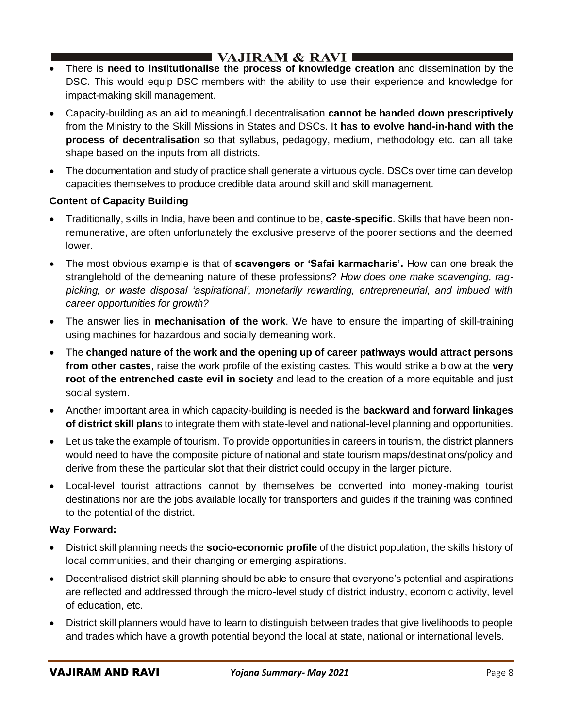- There is **need to institutionalise the process of knowledge creation** and dissemination by the DSC. This would equip DSC members with the ability to use their experience and knowledge for impact-making skill management.
- Capacity-building as an aid to meaningful decentralisation **cannot be handed down prescriptively** from the Ministry to the Skill Missions in States and DSCs. I**t has to evolve hand-in-hand with the process of decentralisatio**n so that syllabus, pedagogy, medium, methodology etc. can all take shape based on the inputs from all districts.
- The documentation and study of practice shall generate a virtuous cycle. DSCs over time can develop capacities themselves to produce credible data around skill and skill management.

## **Content of Capacity Building**

- Traditionally, skills in India, have been and continue to be, **caste-specific**. Skills that have been nonremunerative, are often unfortunately the exclusive preserve of the poorer sections and the deemed lower.
- The most obvious example is that of **scavengers or 'Safai karmacharis'.** How can one break the stranglehold of the demeaning nature of these professions? *How does one make scavenging, ragpicking, or waste disposal 'aspirational', monetarily rewarding, entrepreneurial, and imbued with career opportunities for growth?*
- The answer lies in **mechanisation of the work**. We have to ensure the imparting of skill-training using machines for hazardous and socially demeaning work.
- The **changed nature of the work and the opening up of career pathways would attract persons from other castes**, raise the work profile of the existing castes. This would strike a blow at the **very root of the entrenched caste evil in society** and lead to the creation of a more equitable and just social system.
- Another important area in which capacity-building is needed is the **backward and forward linkages of district skill plan**s to integrate them with state-level and national-level planning and opportunities.
- Let us take the example of tourism. To provide opportunities in careers in tourism, the district planners would need to have the composite picture of national and state tourism maps/destinations/policy and derive from these the particular slot that their district could occupy in the larger picture.
- Local-level tourist attractions cannot by themselves be converted into money-making tourist destinations nor are the jobs available locally for transporters and guides if the training was confined to the potential of the district.

#### **Way Forward:**

- District skill planning needs the **socio-economic profile** of the district population, the skills history of local communities, and their changing or emerging aspirations.
- Decentralised district skill planning should be able to ensure that everyone's potential and aspirations are reflected and addressed through the micro-level study of district industry, economic activity, level of education, etc.
- District skill planners would have to learn to distinguish between trades that give livelihoods to people and trades which have a growth potential beyond the local at state, national or international levels.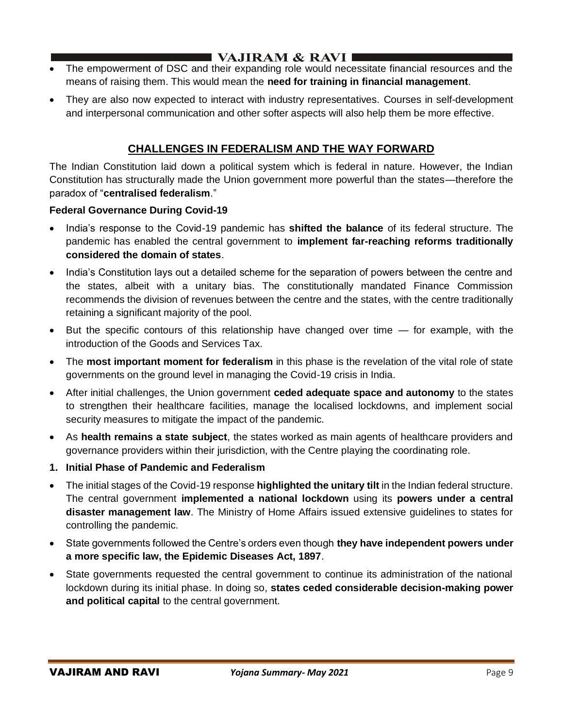- The empowerment of DSC and their expanding role would necessitate financial resources and the means of raising them. This would mean the **need for training in financial management**.
- They are also now expected to interact with industry representatives. Courses in self-development and interpersonal communication and other softer aspects will also help them be more effective.

## **CHALLENGES IN FEDERALISM AND THE WAY FORWARD**

The Indian Constitution laid down a political system which is federal in nature. However, the Indian Constitution has structurally made the Union government more powerful than the states—therefore the paradox of "**centralised federalism**."

### **Federal Governance During Covid-19**

- India's response to the Covid-19 pandemic has **shifted the balance** of its federal structure. The pandemic has enabled the central government to **implement far-reaching reforms traditionally considered the domain of states**.
- India's Constitution lays out a detailed scheme for the separation of powers between the centre and the states, albeit with a unitary bias. The constitutionally mandated Finance Commission recommends the division of revenues between the centre and the states, with the centre traditionally retaining a significant majority of the pool.
- But the specific contours of this relationship have changed over time for example, with the introduction of the Goods and Services Tax.
- The **most important moment for federalism** in this phase is the revelation of the vital role of state governments on the ground level in managing the Covid-19 crisis in India.
- After initial challenges, the Union government **ceded adequate space and autonomy** to the states to strengthen their healthcare facilities, manage the localised lockdowns, and implement social security measures to mitigate the impact of the pandemic.
- As **health remains a state subject**, the states worked as main agents of healthcare providers and governance providers within their jurisdiction, with the Centre playing the coordinating role.
- **1. Initial Phase of Pandemic and Federalism**
- The initial stages of the Covid-19 response **highlighted the unitary tilt** in the Indian federal structure. The central government **implemented a national lockdown** using its **powers under a central disaster management law**. The Ministry of Home Affairs issued extensive guidelines to states for controlling the pandemic.
- State governments followed the Centre's orders even though **they have independent powers under a more specific law, the Epidemic Diseases Act, 1897**.
- State governments requested the central government to continue its administration of the national lockdown during its initial phase. In doing so, **states ceded considerable decision-making power and political capital** to the central government.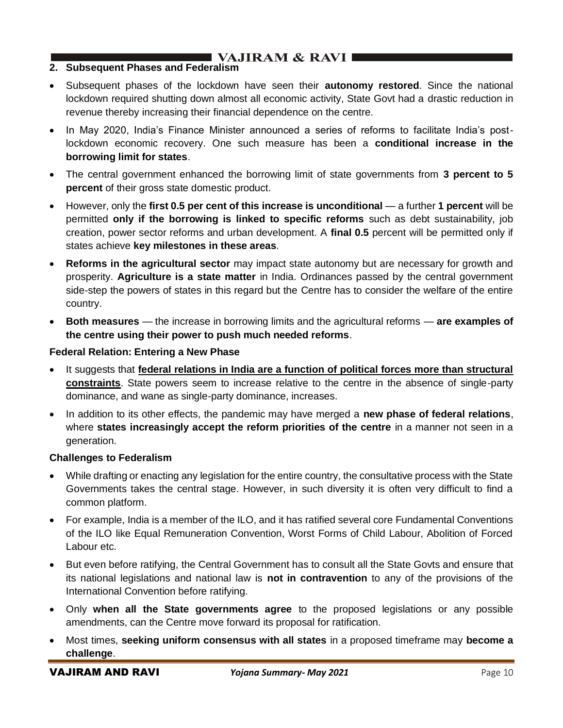# $\blacksquare$  VAJIRAM & RAVI

### **2. Subsequent Phases and Federalism**

- Subsequent phases of the lockdown have seen their **autonomy restored**. Since the national lockdown required shutting down almost all economic activity, State Govt had a drastic reduction in revenue thereby increasing their financial dependence on the centre.
- In May 2020, India's Finance Minister announced a series of reforms to facilitate India's postlockdown economic recovery. One such measure has been a **conditional increase in the borrowing limit for states**.
- The central government enhanced the borrowing limit of state governments from **3 percent to 5 percent** of their gross state domestic product.
- However, only the **first 0.5 per cent of this increase is unconditional** a further **1 percent** will be permitted **only if the borrowing is linked to specific reforms** such as debt sustainability, job creation, power sector reforms and urban development. A **final 0.5** percent will be permitted only if states achieve **key milestones in these areas**.
- **Reforms in the agricultural sector** may impact state autonomy but are necessary for growth and prosperity. **Agriculture is a state matter** in India. Ordinances passed by the central government side-step the powers of states in this regard but the Centre has to consider the welfare of the entire country.
- **Both measures** the increase in borrowing limits and the agricultural reforms **are examples of the centre using their power to push much needed reforms**.

### **Federal Relation: Entering a New Phase**

- It suggests that **federal relations in India are a function of political forces more than structural constraints**. State powers seem to increase relative to the centre in the absence of single-party dominance, and wane as single-party dominance, increases.
- In addition to its other effects, the pandemic may have merged a **new phase of federal relations**, where **states increasingly accept the reform priorities of the centre** in a manner not seen in a generation.

#### **Challenges to Federalism**

- While drafting or enacting any legislation for the entire country, the consultative process with the State Governments takes the central stage. However, in such diversity it is often very difficult to find a common platform.
- For example, India is a member of the ILO, and it has ratified several core Fundamental Conventions of the ILO like Equal Remuneration Convention, Worst Forms of Child Labour, Abolition of Forced Labour etc.
- But even before ratifying, the Central Government has to consult all the State Govts and ensure that its national legislations and national law is **not in contravention** to any of the provisions of the International Convention before ratifying.
- Only **when all the State governments agree** to the proposed legislations or any possible amendments, can the Centre move forward its proposal for ratification.
- Most times, **seeking uniform consensus with all states** in a proposed timeframe may **become a challenge**.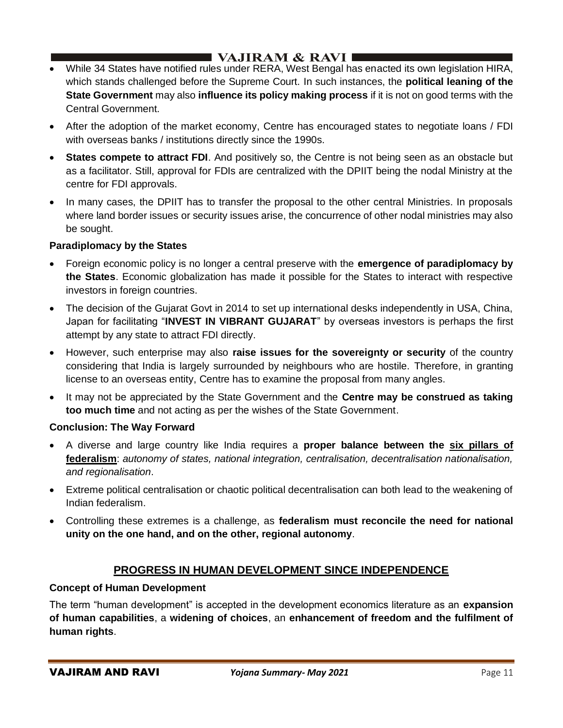# I VAJIRAM  $\&$  RAVI  $\blacksquare$

- While 34 States have notified rules under RERA, West Bengal has enacted its own legislation HIRA, which stands challenged before the Supreme Court. In such instances, the **political leaning of the State Government** may also **influence its policy making process** if it is not on good terms with the Central Government.
- After the adoption of the market economy, Centre has encouraged states to negotiate loans / FDI with overseas banks / institutions directly since the 1990s.
- **States compete to attract FDI.** And positively so, the Centre is not being seen as an obstacle but as a facilitator. Still, approval for FDIs are centralized with the DPIIT being the nodal Ministry at the centre for FDI approvals.
- In many cases, the DPIIT has to transfer the proposal to the other central Ministries. In proposals where land border issues or security issues arise, the concurrence of other nodal ministries may also be sought.

## **Paradiplomacy by the States**

- Foreign economic policy is no longer a central preserve with the **emergence of paradiplomacy by the States**. Economic globalization has made it possible for the States to interact with respective investors in foreign countries.
- The decision of the Gujarat Govt in 2014 to set up international desks independently in USA, China, Japan for facilitating "**INVEST IN VIBRANT GUJARAT**" by overseas investors is perhaps the first attempt by any state to attract FDI directly.
- However, such enterprise may also **raise issues for the sovereignty or security** of the country considering that India is largely surrounded by neighbours who are hostile. Therefore, in granting license to an overseas entity, Centre has to examine the proposal from many angles.
- It may not be appreciated by the State Government and the **Centre may be construed as taking too much time** and not acting as per the wishes of the State Government.

## **Conclusion: The Way Forward**

- A diverse and large country like India requires a **proper balance between the six pillars of federalism**: *autonomy of states, national integration, centralisation, decentralisation nationalisation, and regionalisation*.
- Extreme political centralisation or chaotic political decentralisation can both lead to the weakening of Indian federalism.
- Controlling these extremes is a challenge, as **federalism must reconcile the need for national unity on the one hand, and on the other, regional autonomy**.

## **PROGRESS IN HUMAN DEVELOPMENT SINCE INDEPENDENCE**

#### **Concept of Human Development**

The term "human development" is accepted in the development economics literature as an **expansion of human capabilities**, a **widening of choices**, an **enhancement of freedom and the fulfilment of human rights**.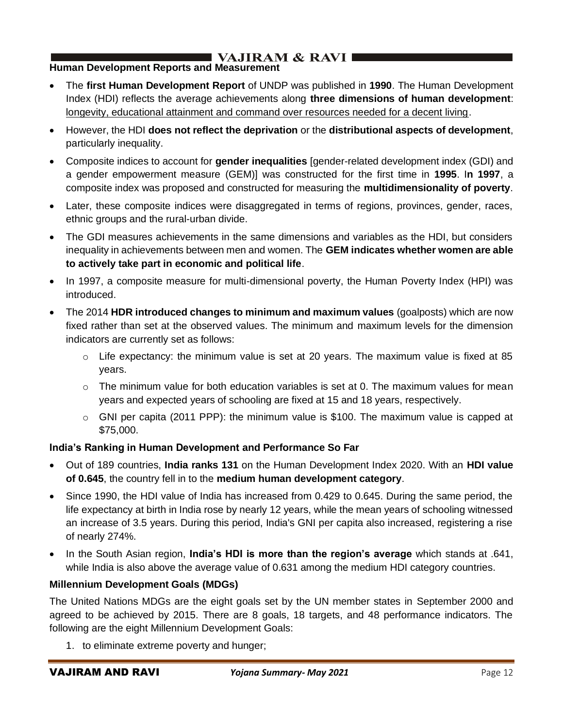# I VAJIRAM  $\&$  RAVI $\blacksquare$

## **Human Development Reports and Measurement**

- The **first Human Development Report** of UNDP was published in **1990**. The Human Development Index (HDI) reflects the average achievements along **three dimensions of human development**: longevity, educational attainment and command over resources needed for a decent living.
- However, the HDI **does not reflect the deprivation** or the **distributional aspects of development**, particularly inequality.
- Composite indices to account for **gender inequalities** [gender-related development index (GDI) and a gender empowerment measure (GEM)] was constructed for the first time in **1995**. I**n 1997**, a composite index was proposed and constructed for measuring the **multidimensionality of poverty**.
- Later, these composite indices were disaggregated in terms of regions, provinces, gender, races, ethnic groups and the rural-urban divide.
- The GDI measures achievements in the same dimensions and variables as the HDI, but considers inequality in achievements between men and women. The **GEM indicates whether women are able to actively take part in economic and political life**.
- In 1997, a composite measure for multi-dimensional poverty, the Human Poverty Index (HPI) was introduced.
- The 2014 **HDR introduced changes to minimum and maximum values** (goalposts) which are now fixed rather than set at the observed values. The minimum and maximum levels for the dimension indicators are currently set as follows:
	- $\circ$  Life expectancy: the minimum value is set at 20 years. The maximum value is fixed at 85 years.
	- $\circ$  The minimum value for both education variables is set at 0. The maximum values for mean years and expected years of schooling are fixed at 15 and 18 years, respectively.
	- $\circ$  GNI per capita (2011 PPP): the minimum value is \$100. The maximum value is capped at \$75,000.

## **India's Ranking in Human Development and Performance So Far**

- Out of 189 countries, **India ranks 131** on the Human Development Index 2020. With an **HDI value of 0.645**, the country fell in to the **medium human development category**.
- Since 1990, the HDI value of India has increased from 0.429 to 0.645. During the same period, the life expectancy at birth in India rose by nearly 12 years, while the mean years of schooling witnessed an increase of 3.5 years. During this period, India's GNI per capita also increased, registering a rise of nearly 274%.
- In the South Asian region, **India's HDI is more than the region's average** which stands at .641, while India is also above the average value of 0.631 among the medium HDI category countries.

#### **Millennium Development Goals (MDGs)**

The United Nations MDGs are the eight goals set by the UN member states in September 2000 and agreed to be achieved by 2015. There are 8 goals, 18 targets, and 48 performance indicators. The following are the eight Millennium Development Goals:

1. to eliminate extreme poverty and hunger;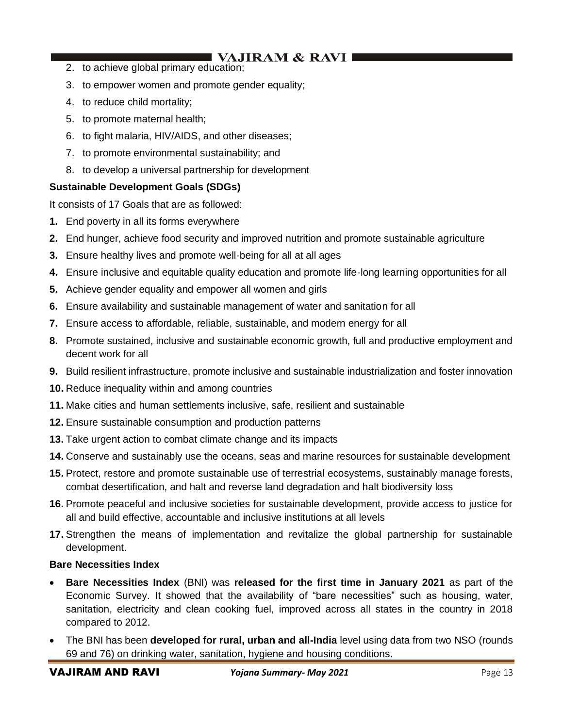# $\blacksquare$  VAJIRAM & RAVI I

- 2. to achieve global primary education;
- 3. to empower women and promote gender equality;
- 4. to reduce child mortality;
- 5. to promote maternal health;
- 6. to fight malaria, HIV/AIDS, and other diseases;
- 7. to promote environmental sustainability; and
- 8. to develop a universal partnership for development

### **Sustainable Development Goals (SDGs)**

It consists of 17 Goals that are as followed:

- **1.** End poverty in all its forms everywhere
- **2.** End hunger, achieve food security and improved nutrition and promote sustainable agriculture
- **3.** Ensure healthy lives and promote well-being for all at all ages
- **4.** Ensure inclusive and equitable quality education and promote life-long learning opportunities for all
- **5.** Achieve gender equality and empower all women and girls
- **6.** Ensure availability and sustainable management of water and sanitation for all
- **7.** Ensure access to affordable, reliable, sustainable, and modern energy for all
- **8.** Promote sustained, inclusive and sustainable economic growth, full and productive employment and decent work for all
- **9.** Build resilient infrastructure, promote inclusive and sustainable industrialization and foster innovation
- **10.** Reduce inequality within and among countries
- **11.** Make cities and human settlements inclusive, safe, resilient and sustainable
- **12.** Ensure sustainable consumption and production patterns
- **13.** Take urgent action to combat climate change and its impacts
- **14.** Conserve and sustainably use the oceans, seas and marine resources for sustainable development
- **15.** Protect, restore and promote sustainable use of terrestrial ecosystems, sustainably manage forests, combat desertification, and halt and reverse land degradation and halt biodiversity loss
- **16.** Promote peaceful and inclusive societies for sustainable development, provide access to justice for all and build effective, accountable and inclusive institutions at all levels
- **17.** Strengthen the means of implementation and revitalize the global partnership for sustainable development.

#### **Bare Necessities Index**

- **Bare Necessities Index** (BNI) was **released for the first time in January 2021** as part of the Economic Survey. It showed that the availability of "bare necessities" such as housing, water, sanitation, electricity and clean cooking fuel, improved across all states in the country in 2018 compared to 2012.
- The BNI has been **developed for rural, urban and all-India** level using data from two NSO (rounds 69 and 76) on drinking water, sanitation, hygiene and housing conditions.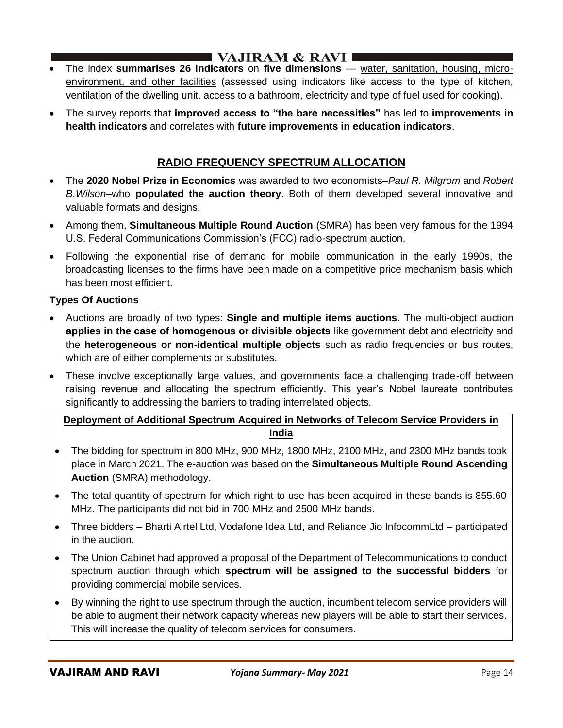- The index **summarises 26 indicators** on **five dimensions** water, sanitation, housing, microenvironment, and other facilities (assessed using indicators like access to the type of kitchen, ventilation of the dwelling unit, access to a bathroom, electricity and type of fuel used for cooking).
- The survey reports that **improved access to "the bare necessities"** has led to **improvements in health indicators** and correlates with **future improvements in education indicators**.

## **RADIO FREQUENCY SPECTRUM ALLOCATION**

- The **2020 Nobel Prize in Economics** was awarded to two economists–*Paul R. Milgrom* and *Robert B.Wilson*–who **populated the auction theory**. Both of them developed several innovative and valuable formats and designs.
- Among them, **Simultaneous Multiple Round Auction** (SMRA) has been very famous for the 1994 U.S. Federal Communications Commission's (FCC) radio-spectrum auction.
- Following the exponential rise of demand for mobile communication in the early 1990s, the broadcasting licenses to the firms have been made on a competitive price mechanism basis which has been most efficient.

### **Types Of Auctions**

- Auctions are broadly of two types: **Single and multiple items auctions**. The multi-object auction **applies in the case of homogenous or divisible objects** like government debt and electricity and the **heterogeneous or non-identical multiple objects** such as radio frequencies or bus routes, which are of either complements or substitutes.
- These involve exceptionally large values, and governments face a challenging trade-off between raising revenue and allocating the spectrum efficiently. This year's Nobel laureate contributes significantly to addressing the barriers to trading interrelated objects.

## **Deployment of Additional Spectrum Acquired in Networks of Telecom Service Providers in India**

- The bidding for spectrum in 800 MHz, 900 MHz, 1800 MHz, 2100 MHz, and 2300 MHz bands took place in March 2021. The e-auction was based on the **Simultaneous Multiple Round Ascending Auction** (SMRA) methodology.
- The total quantity of spectrum for which right to use has been acquired in these bands is 855.60 MHz. The participants did not bid in 700 MHz and 2500 MHz bands.
- Three bidders Bharti Airtel Ltd, Vodafone Idea Ltd, and Reliance Jio InfocommLtd participated in the auction.
- The Union Cabinet had approved a proposal of the Department of Telecommunications to conduct spectrum auction through which **spectrum will be assigned to the successful bidders** for providing commercial mobile services.
- By winning the right to use spectrum through the auction, incumbent telecom service providers will be able to augment their network capacity whereas new players will be able to start their services. This will increase the quality of telecom services for consumers.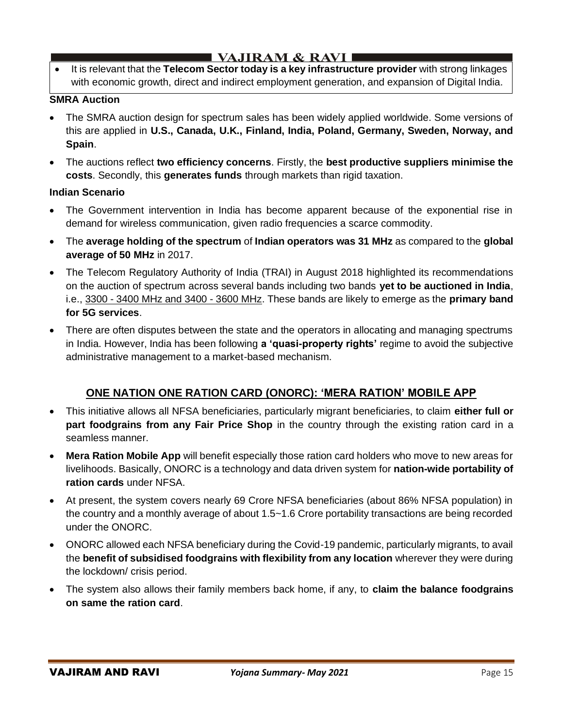# I VAJIRAM  $\&$  RAVI $\blacksquare$

• It is relevant that the **Telecom Sector today is a key infrastructure provider** with strong linkages with economic growth, direct and indirect employment generation, and expansion of Digital India.

#### **SMRA Auction**

- The SMRA auction design for spectrum sales has been widely applied worldwide. Some versions of this are applied in **U.S., Canada, U.K., Finland, India, Poland, Germany, Sweden, Norway, and Spain**.
- The auctions reflect **two efficiency concerns**. Firstly, the **best productive suppliers minimise the costs**. Secondly, this **generates funds** through markets than rigid taxation.

### **Indian Scenario**

- The Government intervention in India has become apparent because of the exponential rise in demand for wireless communication, given radio frequencies a scarce commodity.
- The **average holding of the spectrum** of **Indian operators was 31 MHz** as compared to the **global average of 50 MHz** in 2017.
- The Telecom Regulatory Authority of India (TRAI) in August 2018 highlighted its recommendations on the auction of spectrum across several bands including two bands **yet to be auctioned in India**, i.e., 3300 - 3400 MHz and 3400 - 3600 MHz. These bands are likely to emerge as the **primary band for 5G services**.
- There are often disputes between the state and the operators in allocating and managing spectrums in India. However, India has been following **a 'quasi-property rights'** regime to avoid the subjective administrative management to a market-based mechanism.

## **ONE NATION ONE RATION CARD (ONORC): 'MERA RATION' MOBILE APP**

- This initiative allows all NFSA beneficiaries, particularly migrant beneficiaries, to claim **either full or part foodgrains from any Fair Price Shop** in the country through the existing ration card in a seamless manner.
- **Mera Ration Mobile App** will benefit especially those ration card holders who move to new areas for livelihoods. Basically, ONORC is a technology and data driven system for **nation-wide portability of ration cards** under NFSA.
- At present, the system covers nearly 69 Crore NFSA beneficiaries (about 86% NFSA population) in the country and a monthly average of about 1.5~1.6 Crore portability transactions are being recorded under the ONORC.
- ONORC allowed each NFSA beneficiary during the Covid-19 pandemic, particularly migrants, to avail the **benefit of subsidised foodgrains with flexibility from any location** wherever they were during the lockdown/ crisis period.
- The system also allows their family members back home, if any, to **claim the balance foodgrains on same the ration card**.